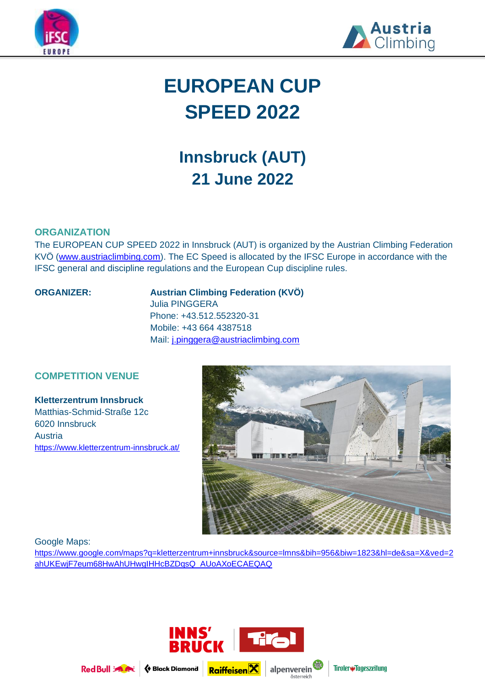



# **EUROPEAN CUP SPEED 2022**

# **Innsbruck (AUT) 21 June 2022**

# **ORGANIZATION**

The EUROPEAN CUP SPEED 2022 in Innsbruck (AUT) is organized by the Austrian Climbing Federation KVÖ [\(www.austriaclimbing.com\)](http://www.austriaclimbing.com/). The EC Speed is allocated by the IFSC Europe in accordance with the IFSC general and discipline regulations and the European Cup discipline rules.

## **ORGANIZER: Austrian Climbing Federation (KVÖ)** Julia PINGGERA

Phone: +43.512.552320-31 Mobile: +43 664 4387518 Mail: [j.pinggera@austriaclimbing.com](mailto:j.pinggera@austriaclimbing.com) 

# **COMPETITION VENUE**

**Kletterzentrum Innsbruck** Matthias-Schmid-Straße 12c 6020 Innsbruck Austria <https://www.kletterzentrum-innsbruck.at/>



Google Maps:

[https://www.google.com/maps?q=kletterzentrum+innsbruck&source=lmns&bih=956&biw=1823&hl=de&sa=X&ved=2](https://www.google.com/maps?q=kletterzentrum+innsbruck&source=lmns&bih=956&biw=1823&hl=de&sa=X&ved=2ahUKEwjF7eum68HwAhUHwgIHHcBZDqsQ_AUoAXoECAEQAQ) [ahUKEwjF7eum68HwAhUHwgIHHcBZDqsQ\\_AUoAXoECAEQAQ](https://www.google.com/maps?q=kletterzentrum+innsbruck&source=lmns&bih=956&biw=1823&hl=de&sa=X&ved=2ahUKEwjF7eum68HwAhUHwgIHHcBZDqsQ_AUoAXoECAEQAQ)



Red Bull 34 A



Tiroler#Tageszeitung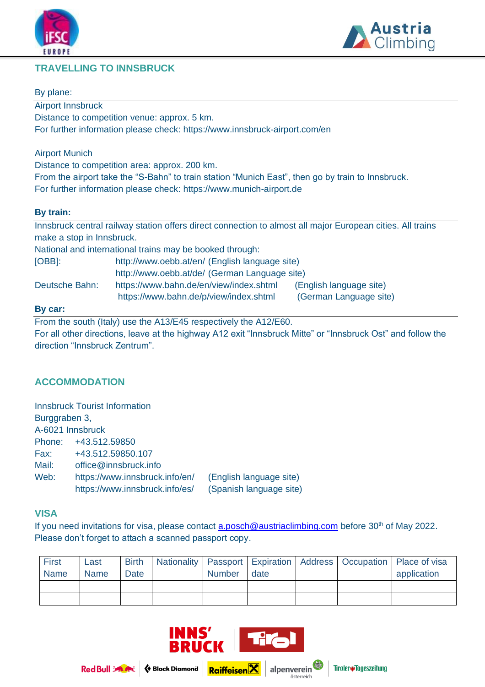





# By plane:

Airport Innsbruck Distance to competition venue: approx. 5 km. For further information please check:<https://www.innsbruck-airport.com/en>

Airport Munich

Distance to competition area: approx. 200 km.

From the airport take the "S-Bahn" to train station "Munich East", then go by train to Innsbruck. For further information please check: [https://www.munich-airport.de](https://www.munich-airport.de/)

# **By train:**

Innsbruck central railway station offers direct connection to almost all major European cities. All trains make a stop in Innsbruck.

National and international trains may be booked through:

| [OBB]:         | http://www.oebb.at/en/ (English language site)<br>http://www.oebb.at/de/ (German Language site) |                         |  |  |
|----------------|-------------------------------------------------------------------------------------------------|-------------------------|--|--|
|                |                                                                                                 |                         |  |  |
| Deutsche Bahn: | https://www.bahn.de/en/view/index.shtml                                                         | (English language site) |  |  |
|                | https://www.bahn.de/p/view/index.shtml                                                          | (German Language site)  |  |  |

## **By car:**

From the south (Italy) use the A13/E45 respectively the A12/E60. For all other directions, leave at the highway A12 exit "Innsbruck Mitte" or "Innsbruck Ost" and follow the direction "Innsbruck Zentrum".

# **ACCOMMODATION**

|                  | <b>Innsbruck Tourist Information</b> |                         |
|------------------|--------------------------------------|-------------------------|
| Burggraben 3,    |                                      |                         |
| A-6021 Innsbruck |                                      |                         |
| Phone:           | +43.512.59850                        |                         |
| Fax:             | +43.512.59850.107                    |                         |
| Mail:            | office@innsbruck.info                |                         |
| Web:             | https://www.innsbruck.info/en/       | (English language site) |
|                  | https://www.innsbruck.info/es/       | (Spanish language site) |

# **VISA**

If you need invitations for visa, please contact [a.posch@austriaclimbing.com](mailto:sekretariat@wettklettern.at) before 30<sup>th</sup> of May 2022. Please don't forget to attach a scanned passport copy.

| <b>First</b> | Last        | <b>Birth</b> |               |      |  | Nationality   Passport   Expiration   Address   Occupation   Place of visa |
|--------------|-------------|--------------|---------------|------|--|----------------------------------------------------------------------------|
| <b>Name</b>  | <b>Name</b> | Date         | <b>Number</b> | date |  | application                                                                |
|              |             |              |               |      |  |                                                                            |
|              |             |              |               |      |  |                                                                            |

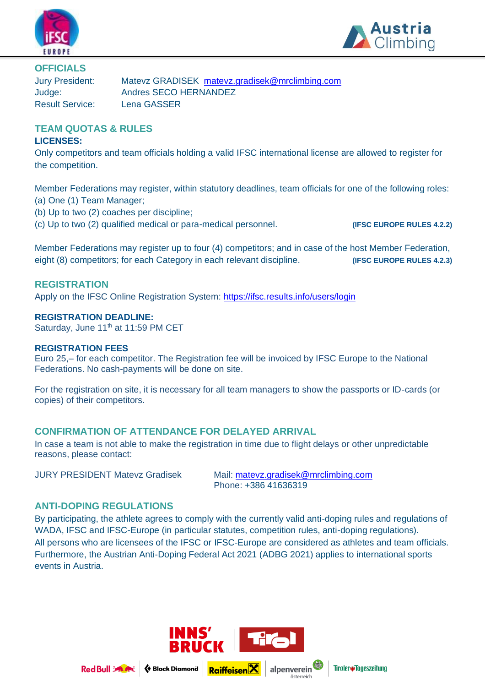



**OFFICIALS**

Result Service: Lena GASSER

Jury President: Matevz GRADISEK [matevz.gradisek@mrclimbing.com](mailto:matevz.gradisek@mrclimbing.com) Judge: Andres SECO HERNANDEZ

# **TEAM QUOTAS & RULES**

# **LICENSES:**

Only competitors and team officials holding a valid IFSC international license are allowed to register for the competition.

Member Federations may register, within statutory deadlines, team officials for one of the following roles: (a) One (1) Team Manager;

- (b) Up to two (2) coaches per discipline;
- (c) Up to two (2) qualified medical or para-medical personnel. **(IFSC EUROPE RULES 4.2.2)**

Member Federations may register up to four (4) competitors; and in case of the host Member Federation, eight (8) competitors; for each Category in each relevant discipline. **(IFSC EUROPE RULES 4.2.3)** 

# **REGISTRATION**

Apply on the IFSC Online Registration System:<https://ifsc.results.info/users/login>

# **REGISTRATION DEADLINE:**

Saturday, June 11<sup>th</sup> at 11:59 PM CET

# **REGISTRATION FEES**

Euro 25,– for each competitor. The Registration fee will be invoiced by IFSC Europe to the National Federations. No cash-payments will be done on site.

For the registration on site, it is necessary for all team managers to show the passports or ID-cards (or copies) of their competitors.

# **CONFIRMATION OF ATTENDANCE FOR DELAYED ARRIVAL**

In case a team is not able to make the registration in time due to flight delays or other unpredictable reasons, please contact:

JURY PRESIDENT Matevz Gradisek Mail: [matevz.gradisek@mrclimbing.com](mailto:matevz.gradisek@mrclimbing.com) Phone: +386 41636319

# **ANTI-DOPING REGULATIONS**

By participating, the athlete agrees to comply with the currently valid anti-doping rules and regulations of WADA, IFSC and IFSC-Europe (in particular statutes, competition rules, anti-doping regulations). All persons who are licensees of the IFSC or IFSC-Europe are considered as athletes and team officials. Furthermore, the Austrian Anti-Doping Federal Act 2021 (ADBG 2021) applies to international sports events in Austria.



österreich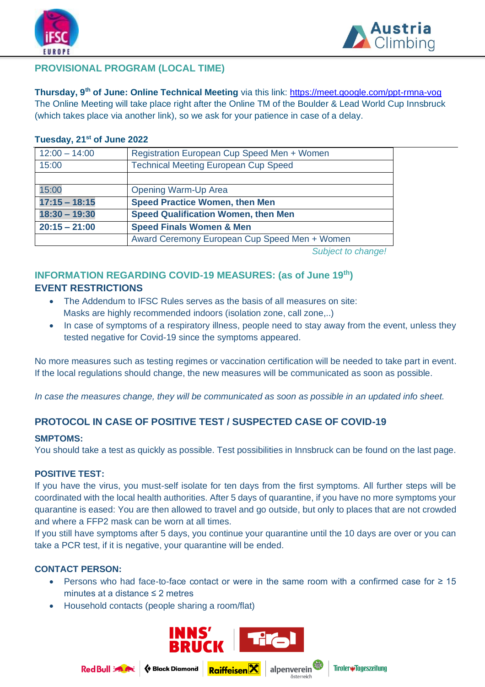



# **PROVISIONAL PROGRAM (LOCAL TIME)**

**Thursday, 9th of June: Online Technical Meeting** via this link:<https://meet.google.com/ppt-rmna-vog> The Online Meeting will take place right after the Online TM of the Boulder & Lead World Cup Innsbruck (which takes place via another link), so we ask for your patience in case of a delay.

# **Tuesday, 21 st of June 2022**

| $12:00 - 14:00$ | Registration European Cup Speed Men + Women   |  |
|-----------------|-----------------------------------------------|--|
| 15:00           | <b>Technical Meeting European Cup Speed</b>   |  |
|                 |                                               |  |
| 15:00           | <b>Opening Warm-Up Area</b>                   |  |
| $17:15 - 18:15$ | <b>Speed Practice Women, then Men</b>         |  |
| $18:30 - 19:30$ | <b>Speed Qualification Women, then Men</b>    |  |
| $20:15 - 21:00$ | <b>Speed Finals Women &amp; Men</b>           |  |
|                 | Award Ceremony European Cup Speed Men + Women |  |
|                 |                                               |  |

*Subject to change!*

# **INFORMATION REGARDING COVID-19 MEASURES: (as of June 19th) EVENT RESTRICTIONS**

- The Addendum to IFSC Rules serves as the basis of all measures on site: Masks are highly recommended indoors (isolation zone, call zone,..)
- In case of symptoms of a respiratory illness, people need to stay away from the event, unless they tested negative for Covid-19 since the symptoms appeared.

No more measures such as testing regimes or vaccination certification will be needed to take part in event. If the local regulations should change, the new measures will be communicated as soon as possible.

*In case the measures change, they will be communicated as soon as possible in an updated info sheet.*

# **PROTOCOL IN CASE OF POSITIVE TEST / SUSPECTED CASE OF COVID-19**

# **SMPTOMS:**

You should take a test as quickly as possible. Test possibilities in Innsbruck can be found on the last page.

# **POSITIVE TEST:**

If you have the virus, you must-self isolate for ten days from the first symptoms. All further steps will be coordinated with the local health authorities. After 5 days of quarantine, if you have no more symptoms your quarantine is eased: You are then allowed to travel and go outside, but only to places that are not crowded and where a FFP2 mask can be worn at all times.

If you still have symptoms after 5 days, you continue your quarantine until the 10 days are over or you can take a PCR test, if it is negative, your quarantine will be ended.

# **CONTACT PERSON:**

- Persons who had face-to-face contact or were in the same room with a confirmed case for ≥ 15 minutes at a distance ≤ 2 metres
- Household contacts (people sharing a room/flat)



**♦ Black Diamond Raiffeisen**X

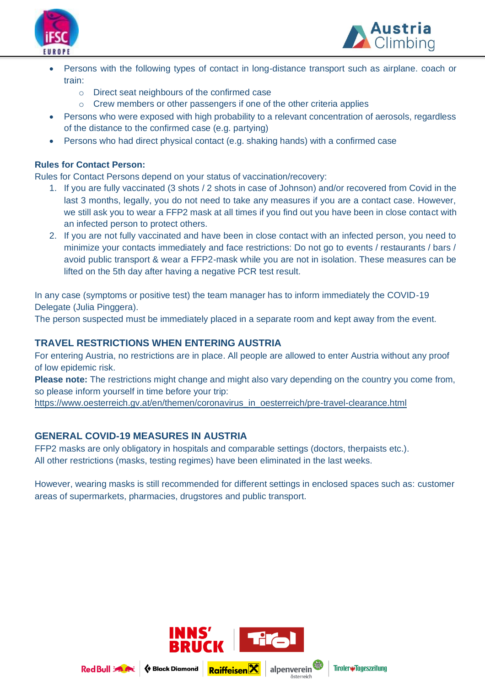



- Persons with the following types of contact in long-distance transport such as airplane. coach or train:
	- o Direct seat neighbours of the confirmed case
	- o Crew members or other passengers if one of the other criteria applies
- Persons who were exposed with high probability to a relevant concentration of aerosols, regardless of the distance to the confirmed case (e.g. partying)
- Persons who had direct physical contact (e.g. shaking hands) with a confirmed case

# **Rules for Contact Person:**

Rules for Contact Persons depend on your status of vaccination/recovery:

- 1. If you are fully vaccinated (3 shots / 2 shots in case of Johnson) and/or recovered from Covid in the last 3 months, legally, you do not need to take any measures if you are a contact case. However, we still ask you to wear a FFP2 mask at all times if you find out you have been in close contact with an infected person to protect others.
- 2. If you are not fully vaccinated and have been in close contact with an infected person, you need to minimize your contacts immediately and face restrictions: Do not go to events / restaurants / bars / avoid public transport & wear a FFP2-mask while you are not in isolation. These measures can be lifted on the 5th day after having a negative PCR test result.

In any case (symptoms or positive test) the team manager has to inform immediately the COVID-19 Delegate (Julia Pinggera).

The person suspected must be immediately placed in a separate room and kept away from the event.

# **TRAVEL RESTRICTIONS WHEN ENTERING AUSTRIA**

For entering Austria, no restrictions are in place. All people are allowed to enter Austria without any proof of low epidemic risk.

**Please note:** The restrictions might change and might also vary depending on the country you come from, so please inform yourself in time before your trip:

[https://www.oesterreich.gv.at/en/themen/coronavirus\\_in\\_oesterreich/pre-travel-clearance.html](https://www.oesterreich.gv.at/en/themen/coronavirus_in_oesterreich/pre-travel-clearance.html)

# **GENERAL COVID-19 MEASURES IN AUSTRIA**

FFP2 masks are only obligatory in hospitals and comparable settings (doctors, therpaists etc.). All other restrictions (masks, testing regimes) have been eliminated in the last weeks.

However, wearing masks is still recommended for different settings in enclosed spaces such as: customer areas of supermarkets, pharmacies, drugstores and public transport.





♦ Black Diamond